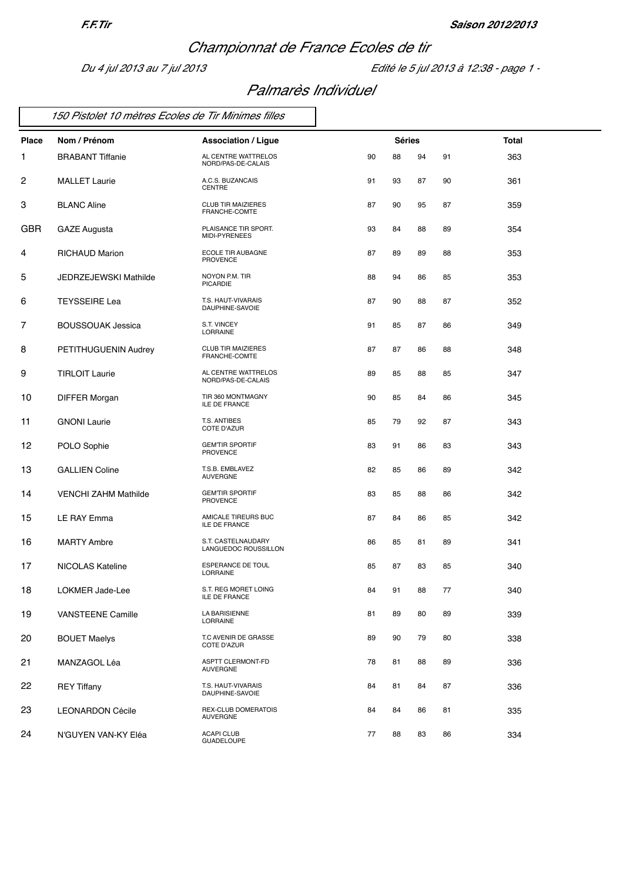## *Championnat de France Ecoles de tir*

*Du 4 jul 2013 au 7 jul 2013 Edité le 5 jul 2013 à 12:38 - page 1 -*

### *Palmarès Individuel*

|  |  |  |  |  |  | 150 Pistolet 10 mètres Ecoles de Tir Minimes filles |  |
|--|--|--|--|--|--|-----------------------------------------------------|--|
|--|--|--|--|--|--|-----------------------------------------------------|--|

| Place      | Nom / Prénom                 | <b>Association / Ligue</b>                    |    | <b>Séries</b> |    |    | Total |
|------------|------------------------------|-----------------------------------------------|----|---------------|----|----|-------|
| 1          | <b>BRABANT Tiffanie</b>      | AL CENTRE WATTRELOS<br>NORD/PAS-DE-CALAIS     | 90 | 88            | 94 | 91 | 363   |
| 2          | <b>MALLET Laurie</b>         | A.C.S. BUZANCAIS<br><b>CENTRE</b>             | 91 | 93            | 87 | 90 | 361   |
| 3          | <b>BLANC Aline</b>           | <b>CLUB TIR MAIZIERES</b><br>FRANCHE-COMTE    | 87 | 90            | 95 | 87 | 359   |
| <b>GBR</b> | <b>GAZE Augusta</b>          | PLAISANCE TIR SPORT.<br>MIDI-PYRENEES         | 93 | 84            | 88 | 89 | 354   |
| 4          | <b>RICHAUD Marion</b>        | ECOLE TIR AUBAGNE<br><b>PROVENCE</b>          | 87 | 89            | 89 | 88 | 353   |
| 5          | <b>JEDRZEJEWSKI Mathilde</b> | NOYON P.M. TIR<br><b>PICARDIE</b>             | 88 | 94            | 86 | 85 | 353   |
| 6          | <b>TEYSSEIRE Lea</b>         | T.S. HAUT-VIVARAIS<br>DAUPHINE-SAVOIE         | 87 | 90            | 88 | 87 | 352   |
| 7          | <b>BOUSSOUAK Jessica</b>     | S.T. VINCEY<br>LORRAINE                       | 91 | 85            | 87 | 86 | 349   |
| 8          | PETITHUGUENIN Audrey         | <b>CLUB TIR MAIZIERES</b><br>FRANCHE-COMTE    | 87 | 87            | 86 | 88 | 348   |
| 9          | <b>TIRLOIT Laurie</b>        | AL CENTRE WATTRELOS<br>NORD/PAS-DE-CALAIS     | 89 | 85            | 88 | 85 | 347   |
| 10         | <b>DIFFER Morgan</b>         | TIR 360 MONTMAGNY<br><b>ILE DE FRANCE</b>     | 90 | 85            | 84 | 86 | 345   |
| 11         | <b>GNONI</b> Laurie          | T.S. ANTIBES<br>COTE D'AZUR                   | 85 | 79            | 92 | 87 | 343   |
| 12         | POLO Sophie                  | <b>GEMTIR SPORTIF</b><br><b>PROVENCE</b>      | 83 | 91            | 86 | 83 | 343   |
| 13         | <b>GALLIEN Coline</b>        | T.S.B. EMBLAVEZ<br><b>AUVERGNE</b>            | 82 | 85            | 86 | 89 | 342   |
| 14         | <b>VENCHI ZAHM Mathilde</b>  | <b>GEMTIR SPORTIF</b><br><b>PROVENCE</b>      | 83 | 85            | 88 | 86 | 342   |
| 15         | LE RAY Emma                  | AMICALE TIREURS BUC<br><b>ILE DE FRANCE</b>   | 87 | 84            | 86 | 85 | 342   |
| 16         | <b>MARTY Ambre</b>           | S.T. CASTELNAUDARY<br>LANGUEDOC ROUSSILLON    | 86 | 85            | 81 | 89 | 341   |
| 17         | NICOLAS Kateline             | <b>ESPERANCE DE TOUL</b><br>LORRAINE          | 85 | 87            | 83 | 85 | 340   |
| 18         | LOKMER Jade-Lee              | S.T. REG MORET LOING<br><b>ILE DE FRANCE</b>  | 84 | 91            | 88 | 77 | 340   |
| 19         | VANSTEENE Camille            | <b>LA BARISIENNE</b><br><b>LORRAINE</b>       | 81 | 89            | 80 | 89 | 339   |
| 20         | <b>BOUET Maelys</b>          | T.C AVENIR DE GRASSE<br>COTE D'AZUR           | 89 | 90            | 79 | 80 | 338   |
| 21         | MANZAGOL Léa                 | ASPTT CLERMONT-FD<br><b>AUVERGNE</b>          | 78 | 81            | 88 | 89 | 336   |
| 22         | <b>REY Tiffany</b>           | T.S. HAUT-VIVARAIS<br>DAUPHINE-SAVOIE         | 84 | 81            | 84 | 87 | 336   |
| 23         | <b>LEONARDON Cécile</b>      | <b>REX-CLUB DOMERATOIS</b><br><b>AUVERGNE</b> | 84 | 84            | 86 | 81 | 335   |
| 24         | N'GUYEN VAN-KY Eléa          | <b>ACAPI CLUB</b><br><b>GUADELOUPE</b>        | 77 | 88            | 83 | 86 | 334   |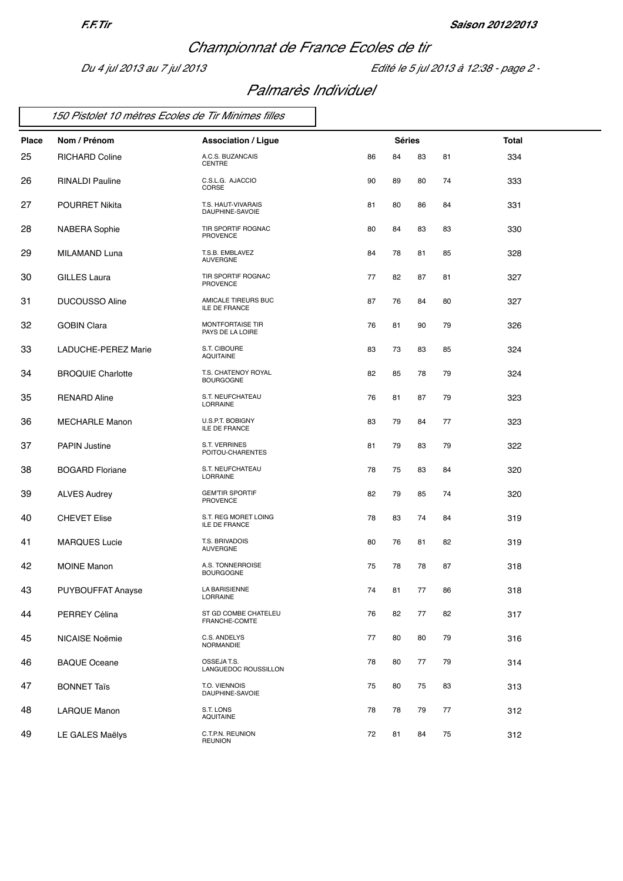## *Championnat de France Ecoles de tir*

*Du 4 jul 2013 au 7 jul 2013 Edité le 5 jul 2013 à 12:38 - page 2 -*

### *Palmarès Individuel*

|  |  |  | 150 Pistolet 10 mètres Ecoles de Tir Minimes filles |
|--|--|--|-----------------------------------------------------|
|--|--|--|-----------------------------------------------------|

| Place | Nom / Prénom             | <b>Association / Ligue</b>               |    | <b>Séries</b> |    |    | Total |
|-------|--------------------------|------------------------------------------|----|---------------|----|----|-------|
| 25    | <b>RICHARD Coline</b>    | A.C.S. BUZANCAIS<br>CENTRE               | 86 | 84            | 83 | 81 | 334   |
| 26    | RINALDI Pauline          | C.S.L.G. AJACCIO<br>CORSE                | 90 | 89            | 80 | 74 | 333   |
| 27    | <b>POURRET Nikita</b>    | T.S. HAUT-VIVARAIS<br>DAUPHINE-SAVOIE    | 81 | 80            | 86 | 84 | 331   |
| 28    | <b>NABERA Sophie</b>     | TIR SPORTIF ROGNAC<br><b>PROVENCE</b>    | 80 | 84            | 83 | 83 | 330   |
| 29    | MILAMAND Luna            | T.S.B. EMBLAVEZ<br><b>AUVERGNE</b>       | 84 | 78            | 81 | 85 | 328   |
| 30    | <b>GILLES Laura</b>      | TIR SPORTIF ROGNAC<br><b>PROVENCE</b>    | 77 | 82            | 87 | 81 | 327   |
| 31    | <b>DUCOUSSO Aline</b>    | AMICALE TIREURS BUC<br>ILE DE FRANCE     | 87 | 76            | 84 | 80 | 327   |
| 32    | <b>GOBIN Clara</b>       | MONTFORTAISE TIR<br>PAYS DE LA LOIRE     | 76 | 81            | 90 | 79 | 326   |
| 33    | LADUCHE-PEREZ Marie      | S.T. CIBOURE<br><b>AQUITAINE</b>         | 83 | 73            | 83 | 85 | 324   |
| 34    | <b>BROQUIE Charlotte</b> | T.S. CHATENOY ROYAL<br><b>BOURGOGNE</b>  | 82 | 85            | 78 | 79 | 324   |
| 35    | <b>RENARD Aline</b>      | S.T. NEUFCHATEAU<br>LORRAINE             | 76 | 81            | 87 | 79 | 323   |
| 36    | <b>MECHARLE Manon</b>    | U.S.P.T. BOBIGNY<br>ILE DE FRANCE        | 83 | 79            | 84 | 77 | 323   |
| 37    | <b>PAPIN Justine</b>     | S.T. VERRINES<br>POITOU-CHARENTES        | 81 | 79            | 83 | 79 | 322   |
| 38    | <b>BOGARD Floriane</b>   | S.T. NEUFCHATEAU<br>LORRAINE             | 78 | 75            | 83 | 84 | 320   |
| 39    | <b>ALVES Audrey</b>      | <b>GEMTIR SPORTIF</b><br><b>PROVENCE</b> | 82 | 79            | 85 | 74 | 320   |
| 40    | <b>CHEVET Elise</b>      | S.T. REG MORET LOING<br>ILE DE FRANCE    | 78 | 83            | 74 | 84 | 319   |
| 41    | <b>MARQUES Lucie</b>     | T.S. BRIVADOIS<br><b>AUVERGNE</b>        | 80 | 76            | 81 | 82 | 319   |
| 42    | <b>MOINE Manon</b>       | A.S. TONNERROISE<br><b>BOURGOGNE</b>     | 75 | 78            | 78 | 87 | 318   |
| 43    | PUYBOUFFAT Anayse        | LA BARISIENNE<br><b>LORRAINE</b>         | 74 | 81            | 77 | 86 | 318   |
| 44    | PERREY Célina            | ST GD COMBE CHATELEU<br>FRANCHE-COMTE    | 76 | 82            | 77 | 82 | 317   |
| 45    | NICAISE Noëmie           | C.S. ANDELYS<br>NORMANDIE                | 77 | 80            | 80 | 79 | 316   |
| 46    | <b>BAQUE Oceane</b>      | OSSEJA T.S.<br>LANGUEDOC ROUSSILLON      | 78 | 80            | 77 | 79 | 314   |
| 47    | <b>BONNET Taïs</b>       | T.O. VIENNOIS<br>DAUPHINE-SAVOIE         | 75 | 80            | 75 | 83 | 313   |
| 48    | <b>LARQUE Manon</b>      | S.T. LONS<br><b>AQUITAINE</b>            | 78 | 78            | 79 | 77 | 312   |
| 49    | LE GALES Maëlys          | C.T.P.N. REUNION<br><b>REUNION</b>       | 72 | 81            | 84 | 75 | 312   |